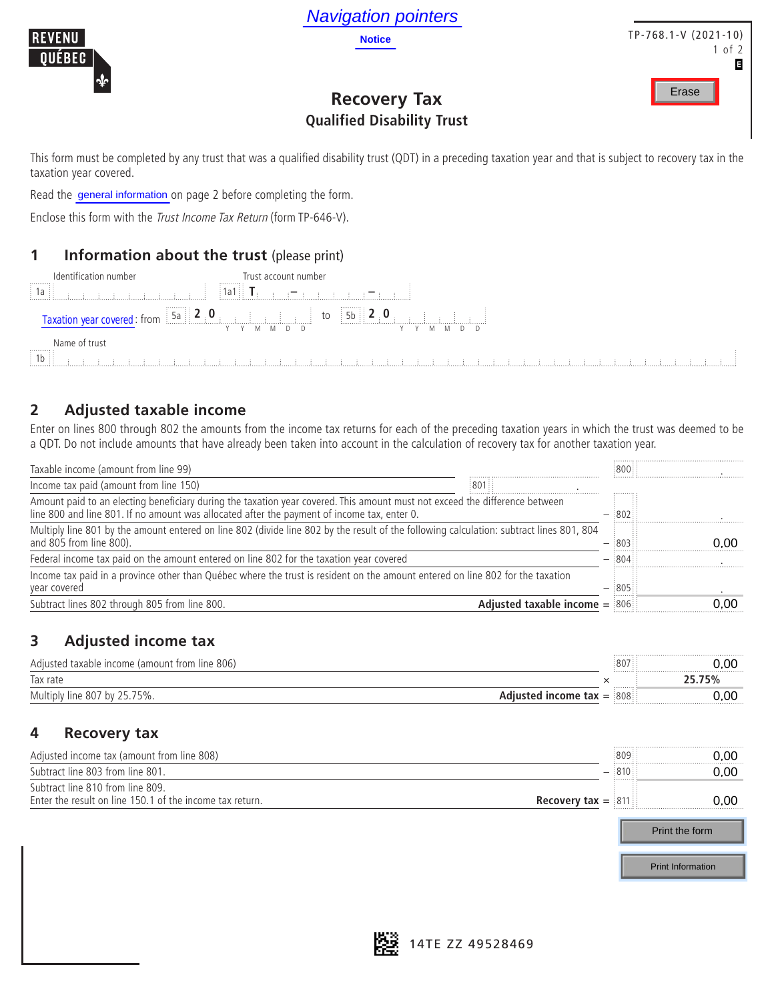

## **Recovery Tax Qualified Disability Trust**

#### **1 Information about the trust** (please print)



#### **2 Adjusted taxable income**

| <b>Navigation pointers</b>                                                                                                                                                                                          |                 |                          |
|---------------------------------------------------------------------------------------------------------------------------------------------------------------------------------------------------------------------|-----------------|--------------------------|
| REVENU<br><b>Notice</b>                                                                                                                                                                                             |                 | $TP-768.1-V(2021-10)$    |
| <b>OUEBEC</b>                                                                                                                                                                                                       |                 | of 2                     |
|                                                                                                                                                                                                                     |                 | В                        |
| <b>Recovery Tax</b>                                                                                                                                                                                                 |                 | Erase                    |
|                                                                                                                                                                                                                     |                 |                          |
| <b>Qualified Disability Trust</b>                                                                                                                                                                                   |                 |                          |
| This form must be completed by any trust that was a qualified disability trust (QDT) in a preceding taxation year and that is subject to recovery tax in the<br>taxation year covered.                              |                 |                          |
| Read the general information on page 2 before completing the form.                                                                                                                                                  |                 |                          |
| Enclose this form with the Trust Income Tax Return (form TP-646-V).                                                                                                                                                 |                 |                          |
|                                                                                                                                                                                                                     |                 |                          |
| Information about the trust (please print)<br>1                                                                                                                                                                     |                 |                          |
| Identification number<br>Trust account number                                                                                                                                                                       |                 |                          |
| $\ {\bf 1} {\bf a} {\bf 1}\ $ , $\ {\bf T}_1\ $ , $\ {\bf T}_2\ $ , $\ {\bf T}_3\ $ , $\ {\bf T}_4\ $ , $\ {\bf T}_5\ $ , $\ {\bf T}_6\ $ , $\ {\bf T}_7\ $<br>: 1a<br><b>Carl and a community of the Carl Carl</b> |                 |                          |
|                                                                                                                                                                                                                     |                 |                          |
|                                                                                                                                                                                                                     |                 |                          |
| Name of trust                                                                                                                                                                                                       |                 |                          |
| 1b                                                                                                                                                                                                                  |                 |                          |
|                                                                                                                                                                                                                     |                 |                          |
| <b>Adjusted taxable income</b><br>$\overline{2}$                                                                                                                                                                    |                 |                          |
| Enter on lines 800 through 802 the amounts from the income tax returns for each of the preceding taxation years in which the trust was deemed to be                                                                 |                 |                          |
| a QDT. Do not include amounts that have already been taken into account in the calculation of recovery tax for another taxation year.                                                                               |                 |                          |
| Taxable income (amount from line 99)                                                                                                                                                                                | 800             |                          |
| Income tax paid (amount from line 150)<br>801                                                                                                                                                                       |                 |                          |
| Amount paid to an electing beneficiary during the taxation year covered. This amount must not exceed the difference between                                                                                         |                 |                          |
| line 800 and line 801. If no amount was allocated after the payment of income tax, enter 0.                                                                                                                         | $-$ 802         |                          |
| Multiply line 801 by the amount entered on line 802 (divide line 802 by the result of the following calculation: subtract lines 801, 804<br>and 805 from line 800).                                                 | $-$ 803         | 0.00                     |
| Federal income tax paid on the amount entered on line 802 for the taxation year covered                                                                                                                             | $-$ :804        |                          |
| Income tax paid in a province other than Québec where the trust is resident on the amount entered on line 802 for the taxation                                                                                      |                 |                          |
| year covered<br>Subtract lines 802 through 805 from line 800.<br>Adjusted taxable income $=$ 806                                                                                                                    | $-$ :805        | 0,00                     |
|                                                                                                                                                                                                                     |                 |                          |
| <b>Adjusted income tax</b><br>3                                                                                                                                                                                     |                 |                          |
|                                                                                                                                                                                                                     |                 |                          |
| Adjusted taxable income (amount from line 806)<br>Tax rate                                                                                                                                                          | 807<br>$\times$ | 0.00<br>25.75%           |
| Multiply line 807 by 25.75%.<br>Adjusted income tax $=$ 808                                                                                                                                                         |                 | 0,00                     |
|                                                                                                                                                                                                                     |                 |                          |
| <b>Recovery tax</b><br>4                                                                                                                                                                                            |                 |                          |
| Adjusted income tax (amount from line 808)                                                                                                                                                                          | 809             |                          |
| Subtract line 803 from line 801.                                                                                                                                                                                    | 810             | 0,00<br>0,00             |
| Subtract line 810 from line 809.                                                                                                                                                                                    |                 |                          |
| Enter the result on line 150.1 of the income tax return.<br><b>Recovery tax</b> $=$ 811                                                                                                                             |                 | 0.00                     |
|                                                                                                                                                                                                                     |                 | Print the form           |
|                                                                                                                                                                                                                     |                 |                          |
|                                                                                                                                                                                                                     |                 | <b>Print Information</b> |

## **3 Adjusted income tax**

| taxable income (amount from line 806)<br>Adiusted | 807                                            | 0.00 |
|---------------------------------------------------|------------------------------------------------|------|
| Tax rate                                          |                                                |      |
| 75%.<br>Multiply line 807 by                      | :808<br>income tax<br>$\overline{\phantom{0}}$ | 0,00 |

#### **4 Recovery tax**

| Adjusted income tax (amount from line 808)                                                         | :809 | 0.00 |
|----------------------------------------------------------------------------------------------------|------|------|
| Subtract line 803 from line 801.                                                                   | .    | 0.OC |
| Subtract line 810 from line 809.                                                                   |      |      |
| Enter the result on line 150.1 of the income tax return.<br><b>Recovery tax = <math>811</math></b> |      | 0.00 |